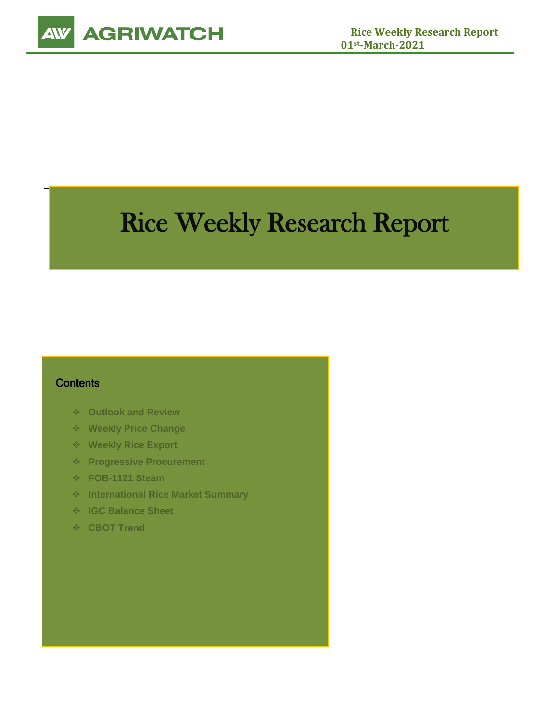

# Rice Weekly Research Report

# **Contents**

- ❖ **Outlook and Review**
- ❖ **Weekly Price Change**
- ❖ **Weekly Rice Export**
- ❖ **Progressive Procurement**
- ❖ **FOB-1121 Steam**
- ❖ **International Rice Market Summary**
- ❖ **IGC Balance Sheet**
- ❖ **CBOT Trend**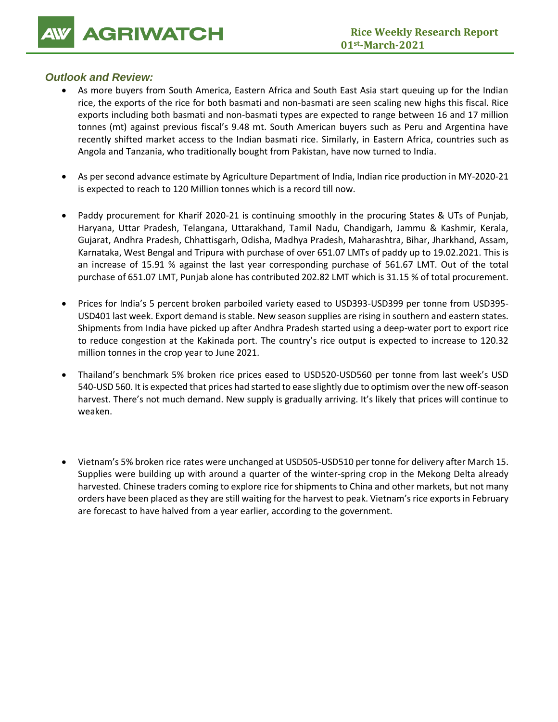**14 GRIWATCH** Rice Weekly Re

# *Outlook and Review:*

- As more buyers from South America, Eastern Africa and South East Asia start queuing up for the Indian rice, the exports of the rice for both basmati and non-basmati are seen scaling new highs this fiscal. Rice exports including both basmati and non-basmati types are expected to range between 16 and 17 million tonnes (mt) against previous fiscal's 9.48 mt. South American buyers such as Peru and Argentina have recently shifted market access to the Indian basmati rice. Similarly, in Eastern Africa, countries such as Angola and Tanzania, who traditionally bought from Pakistan, have now turned to India.
- As per second advance estimate by Agriculture Department of India, Indian rice production in MY-2020-21 is expected to reach to 120 Million tonnes which is a record till now.
- Paddy procurement for Kharif 2020-21 is continuing smoothly in the procuring States & UTs of Punjab, Haryana, Uttar Pradesh, Telangana, Uttarakhand, Tamil Nadu, Chandigarh, Jammu & Kashmir, Kerala, Gujarat, Andhra Pradesh, Chhattisgarh, Odisha, Madhya Pradesh, Maharashtra, Bihar, Jharkhand, Assam, Karnataka, West Bengal and Tripura with purchase of over 651.07 LMTs of paddy up to 19.02.2021. This is an increase of 15.91 % against the last year corresponding purchase of 561.67 LMT. Out of the total purchase of 651.07 LMT, Punjab alone has contributed 202.82 LMT which is 31.15 % of total procurement.
- Prices for India's 5 percent broken parboiled variety eased to USD393-USD399 per tonne from USD395- USD401 last week. Export demand is stable. New season supplies are rising in southern and eastern states. Shipments from India have picked up after Andhra Pradesh started using a deep-water port to export rice to reduce congestion at the Kakinada port. The country's rice output is expected to increase to 120.32 million tonnes in the crop year to June 2021.
- Thailand's benchmark 5% broken rice prices eased to USD520-USD560 per tonne from last week's USD 540-USD 560. It is expected that prices had started to ease slightly due to optimism over the new off-season harvest. There's not much demand. New supply is gradually arriving. It's likely that prices will continue to weaken.
- Vietnam's 5% broken rice rates were unchanged at USD505-USD510 per tonne for delivery after March 15. Supplies were building up with around a quarter of the winter-spring crop in the Mekong Delta already harvested. Chinese traders coming to explore rice for shipments to China and other markets, but not many orders have been placed as they are still waiting for the harvest to peak. Vietnam's rice exports in February are forecast to have halved from a year earlier, according to the government.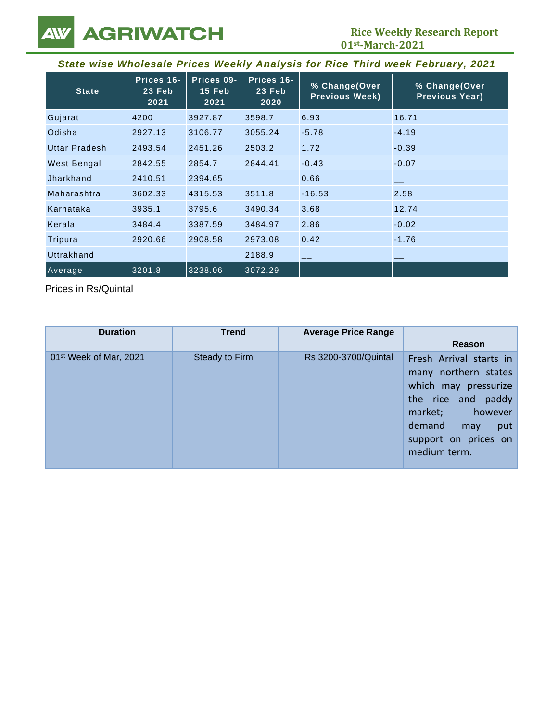**101** Rice Weekly Re<br>
01<sup>st</sup>-March-2021

| State wise Wholesale Prices Weekly Analysis for Rice Third week February, 2021 |                              |                              |                              |                                        |                                        |
|--------------------------------------------------------------------------------|------------------------------|------------------------------|------------------------------|----------------------------------------|----------------------------------------|
| <b>State</b>                                                                   | Prices 16-<br>23 Feb<br>2021 | Prices 09-<br>15 Feb<br>2021 | Prices 16-<br>23 Feb<br>2020 | % Change(Over<br><b>Previous Week)</b> | % Change(Over<br><b>Previous Year)</b> |
| Gujarat                                                                        | 4200                         | 3927.87                      | 3598.7                       | 6.93                                   | 16.71                                  |
| Odisha                                                                         | 2927.13                      | 3106.77                      | 3055.24                      | $-5.78$                                | $-4.19$                                |
| Uttar Pradesh                                                                  | 2493.54                      | 2451.26                      | 2503.2                       | 1.72                                   | $-0.39$                                |
| West Bengal                                                                    | 2842.55                      | 2854.7                       | 2844.41                      | $-0.43$                                | $-0.07$                                |
| Jharkhand                                                                      | 2410.51                      | 2394.65                      |                              | 0.66                                   |                                        |
| Maharashtra                                                                    | 3602.33                      | 4315.53                      | 3511.8                       | $-16.53$                               | 2.58                                   |
| Karnataka                                                                      | 3935.1                       | 3795.6                       | 3490.34                      | 3.68                                   | 12.74                                  |
| Kerala                                                                         | 3484.4                       | 3387.59                      | 3484.97                      | 2.86                                   | $-0.02$                                |
| Tripura                                                                        | 2920.66                      | 2908.58                      | 2973.08                      | 0.42                                   | $-1.76$                                |
| Uttrakhand                                                                     |                              |                              | 2188.9                       |                                        |                                        |
| Average                                                                        | 3201.8                       | 3238.06                      | 3072.29                      |                                        |                                        |

Prices in Rs/Quintal

| <b>Duration</b>                    | <b>Trend</b>   | <b>Average Price Range</b> | Reason                                                                                                                                                                                 |
|------------------------------------|----------------|----------------------------|----------------------------------------------------------------------------------------------------------------------------------------------------------------------------------------|
| 01 <sup>st</sup> Week of Mar, 2021 | Steady to Firm | Rs.3200-3700/Quintal       | Fresh Arrival starts in<br>many northern states<br>which may pressurize<br>paddy<br>the rice and<br>market;<br>however<br>demand<br>put<br>may<br>support on prices on<br>medium term. |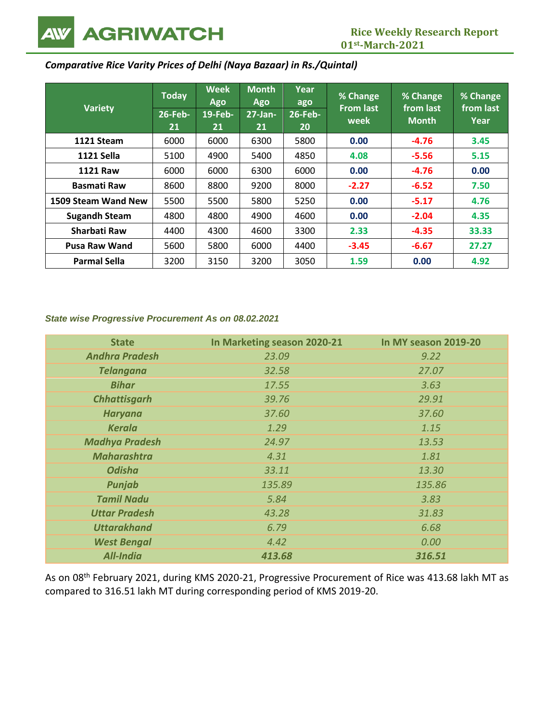**111 AGRIWATCH**<br>
01<sup>st</sup>-March-2021

# *Comparative Rice Varity Prices of Delhi (Naya Bazaar) in Rs./Quintal)*

| <b>Variety</b>       | <b>Today</b><br>$26$ -Feb-<br>21 | <b>Week</b><br>Ago<br>$19$ -Feb-<br>21 | <b>Month</b><br><b>Ago</b><br>$27 - Jan-$<br>21 | Year<br>ago<br>$26$ -Feb-<br>20 | % Change<br><b>From last</b><br>week | % Change<br>from last<br><b>Month</b> | % Change<br>from last<br>Year |
|----------------------|----------------------------------|----------------------------------------|-------------------------------------------------|---------------------------------|--------------------------------------|---------------------------------------|-------------------------------|
| 1121 Steam           | 6000                             | 6000                                   | 6300                                            | 5800                            | 0.00                                 | $-4.76$                               | 3.45                          |
| <b>1121 Sella</b>    | 5100                             | 4900                                   | 5400                                            | 4850                            | 4.08                                 | $-5.56$                               | 5.15                          |
| <b>1121 Raw</b>      | 6000                             | 6000                                   | 6300                                            | 6000                            | 0.00                                 | $-4.76$                               | 0.00                          |
| <b>Basmati Raw</b>   | 8600                             | 8800                                   | 9200                                            | 8000                            | $-2.27$                              | $-6.52$                               | 7.50                          |
| 1509 Steam Wand New  | 5500                             | 5500                                   | 5800                                            | 5250                            | 0.00                                 | $-5.17$                               | 4.76                          |
| <b>Sugandh Steam</b> | 4800                             | 4800                                   | 4900                                            | 4600                            | 0.00                                 | $-2.04$                               | 4.35                          |
| Sharbati Raw         | 4400                             | 4300                                   | 4600                                            | 3300                            | 2.33                                 | $-4.35$                               | 33.33                         |
| <b>Pusa Raw Wand</b> | 5600                             | 5800                                   | 6000                                            | 4400                            | $-3.45$                              | $-6.67$                               | 27.27                         |
| <b>Parmal Sella</b>  | 3200                             | 3150                                   | 3200                                            | 3050                            | 1.59                                 | 0.00                                  | 4.92                          |

#### *State wise Progressive Procurement As on 08.02.2021*

| <b>State</b>          | In Marketing season 2020-21 | In MY season 2019-20 |
|-----------------------|-----------------------------|----------------------|
| <b>Andhra Pradesh</b> | 23.09                       | 9.22                 |
| <b>Telangana</b>      | 32.58                       | 27.07                |
| <b>Bihar</b>          | 17.55                       | 3.63                 |
| <b>Chhattisgarh</b>   | 39.76                       | 29.91                |
| <b>Haryana</b>        | 37.60                       | 37.60                |
| <b>Kerala</b>         | 1.29                        | 1.15                 |
| <b>Madhya Pradesh</b> | 24.97                       | 13.53                |
| <b>Maharashtra</b>    | 4.31                        | 1.81                 |
| <b>Odisha</b>         | 33.11                       | 13.30                |
| Punjab                | 135.89                      | 135.86               |
| <b>Tamil Nadu</b>     | 5.84                        | 3.83                 |
| <b>Uttar Pradesh</b>  | 43.28                       | 31.83                |
| <b>Uttarakhand</b>    | 6.79                        | 6.68                 |
| <b>West Bengal</b>    | 4.42                        | 0.00                 |
| <b>All-India</b>      | 413.68                      | 316.51               |

As on 08th February 2021, during KMS 2020-21, Progressive Procurement of Rice was 413.68 lakh MT as compared to 316.51 lakh MT during corresponding period of KMS 2019-20.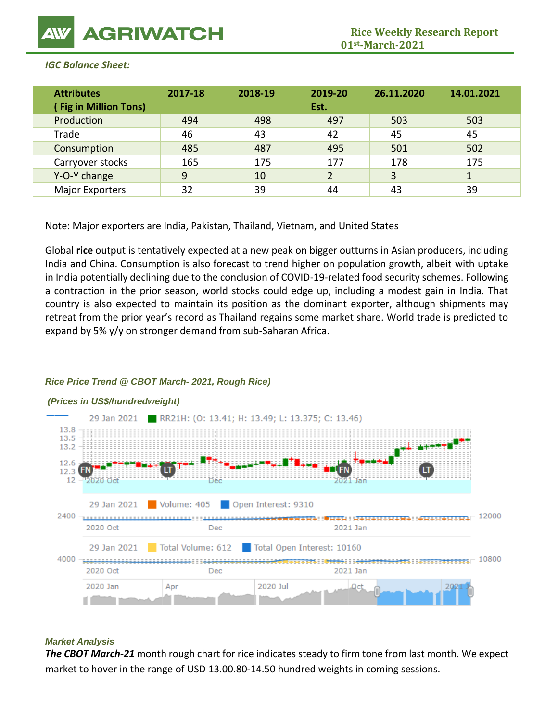| <b>Attributes</b><br><b>Fig in Million Tons)</b> | 2017-18 | 2018-19 | 2019-20<br>Est. | 26.11.2020 | 14.01.2021 |
|--------------------------------------------------|---------|---------|-----------------|------------|------------|
| Production                                       | 494     | 498     | 497             | 503        | 503        |
| Trade                                            | 46      | 43      | 42              | 45         | 45         |
| Consumption                                      | 485     | 487     | 495             | 501        | 502        |
| Carryover stocks                                 | 165     | 175     | 177             | 178        | 175        |
| Y-O-Y change                                     | 9       | 10      | 2               | 3          | 1          |
| <b>Major Exporters</b>                           | 32      | 39      | 44              | 43         | 39         |

### *IGC Balance Sheet:*

Note: Major exporters are India, Pakistan, Thailand, Vietnam, and United States

Global **rice** output is tentatively expected at a new peak on bigger outturns in Asian producers, including India and China. Consumption is also forecast to trend higher on population growth, albeit with uptake in India potentially declining due to the conclusion of COVID-19-related food security schemes. Following a contraction in the prior season, world stocks could edge up, including a modest gain in India. That country is also expected to maintain its position as the dominant exporter, although shipments may retreat from the prior year's record as Thailand regains some market share. World trade is predicted to expand by 5% y/y on stronger demand from sub-Saharan Africa.

# *Rice Price Trend @ CBOT March- 2021, Rough Rice)*



#### *(Prices in US\$/hundredweight)*

#### *Market Analysis*

*The CBOT March-21* month rough chart for rice indicates steady to firm tone from last month. We expect market to hover in the range of USD 13.00.80-14.50 hundred weights in coming sessions.